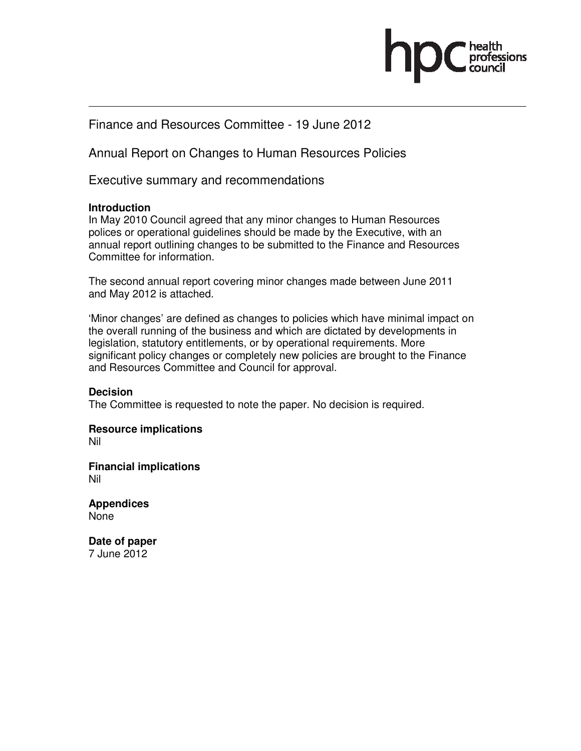

## Finance and Resources Committee - 19 June 2012

Annual Report on Changes to Human Resources Policies

Executive summary and recommendations

## **Introduction**

In May 2010 Council agreed that any minor changes to Human Resources polices or operational guidelines should be made by the Executive, with an annual report outlining changes to be submitted to the Finance and Resources Committee for information.

The second annual report covering minor changes made between June 2011 and May 2012 is attached.

'Minor changes' are defined as changes to policies which have minimal impact on the overall running of the business and which are dictated by developments in legislation, statutory entitlements, or by operational requirements. More significant policy changes or completely new policies are brought to the Finance and Resources Committee and Council for approval.

## **Decision**

The Committee is requested to note the paper. No decision is required.

**Resource implications** Nil

**Financial implications**  Nil

**Appendices**  None

**Date of paper**  7 June 2012